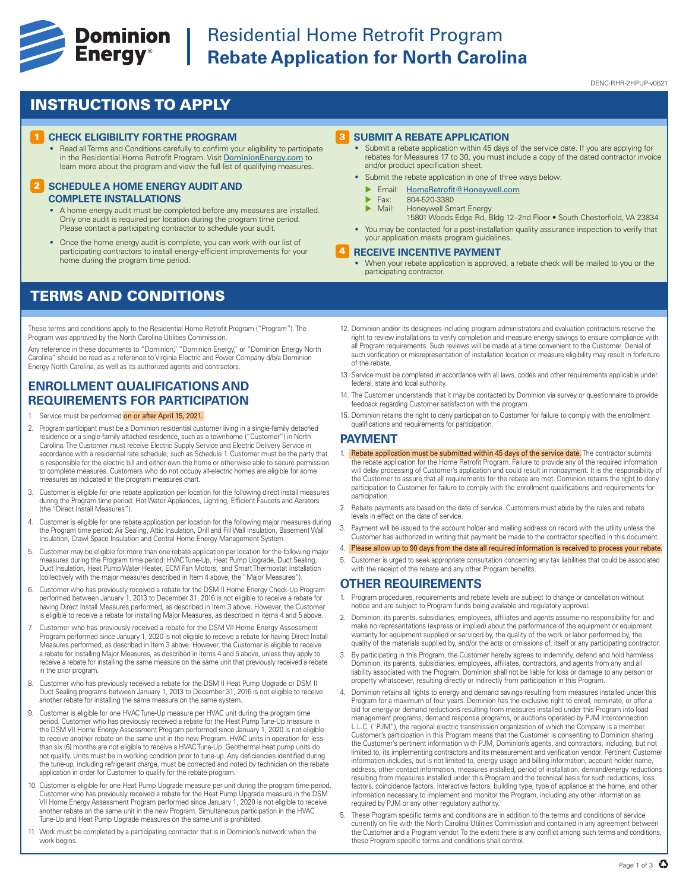

## **Experience Cominion** Residential Home Retrofit Program<br> **Energy**<sup>®</sup> Rebate Application for North Caroli **Rebate Application for North Carolina**

DENC-RHR-2HPUP-v0621

## INSTRUCTIONS TO APPLY

#### **1 CHECK ELIGIBILITY FOR THE PROGRAM**

• Read all Terms and Conditions carefully to confirm your eligibility to participate in the Residential Home Retrofit Program. Visit DominionEnergy.com to learn more about the program and view the full list of qualifying measures.

#### **2 SCHEDULE A HOME ENERGY AUDIT AND COMPLETE INSTALLATIONS**

- A home energy audit must be completed before any measures are installed. Only one audit is required per location during the program time period. Please contact a participating contractor to schedule your audit
- Once the home energy audit is complete, you can work with our list of participating contractors to install energy-efficient improvements for your home during the program time period.

### TERMS AND CONDITIONS

These terms and conditions apply to the Residential Home Retrofit Program ("Program"). The Program was approved by the North Carolina Utilities Commission.

Any reference in these documents to "Dominion," "Dominion Energy," or "Dominion Energy North Carolina" should be read as a reference to Virginia Electric and Power Company d/b/a Dominion Energy North Carolina, as well as its authorized agents and contractors.

### **ENROLLMENT QUALIFICATIONS AND REQUIREMENTS FOR PARTICIPATION**

- 1. Service must be performed on or after April 15, 2021.
- 2. Program participant must be a Dominion residential customer living in a single-family detached residence or a single-family attached residence, such as a townhome ("Customer") in North Carolina. The Customer must receive Electric Supply Service and Electric Delivery Service in accordance with a residential rate schedule, such as Schedule 1. Customer must be the party that is responsible for the electric bill and either own the home or otherwise able to secure permission to complete measures. Customers who do not occupy all-electric homes are eligible for some measures as indicated in the program measures chart.
- 3. Customer is eligible for one rebate application per location for the following direct install measures during the Program time period: Hot Water Appliances, Lighting, Efficient Faucets and Aerators (the "Direct Install Measures").
- 4. Customer is eligible for one rebate application per location for the following major measures during the Program time period: Air Sealing, Attic Insulation, Drill and Fill Wall Insulation, Basement Wall Insulation, Crawl Space Insulation and Central Home Energy Management System.
- 5. Customer may be eligible for more than one rebate application per location for the following major measures during the Program time period: HVAC Tune-Up, Heat Pump Upgrade, Duct Sealing, Duct Insulation, Heat Pump Water Heater, ECM Fan Motors, and Smart Thermostat Installation (collectively with the major measures described in Item 4 above, the "Major Measures").
- 6. Customer who has previously received a rebate for the DSM II Home Energy Check-Up Program performed between January 1, 2013 to December 31, 2016 is not eligible to receive a rebate for having Direct Install Measures performed, as described in Item 3 above. However, the Customer is eligible to receive a rebate for installing Major Measures, as described in items 4 and 5 above.
- 7. Customer who has previously received a rebate for the DSM VII Home Energy Assessment Program performed since January 1, 2020 is not eligible to receive a rebate for having Direct Install Measures performed, as described in Item 3 above. However, the Customer is eligible to receive a rebate for installing Major Measures, as described in items 4 and 5 above, unless they apply to receive a rebate for installing the same measure on the same unit that previously received a rebate in the prior program.
- 8. Customer who has previously received a rebate for the DSM II Heat Pump Upgrade or DSM II Duct Sealing programs between January 1, 2013 to December 31, 2016 is not eligible to receive another rebate for installing the same measure on the same system.
- 9. Customer is eligible for one HVAC Tune-Up measure per HVAC unit during the program time period. Customer who has previously received a rebate for the Heat Pump Tune-Up measure in the DSM VII Home Energy Assessment Program performed since January 1, 2020 is not eligible to receive another rebate on the same unit in the new Program. HVAC units in operation for less than six (6) months are not eligible to receive a HVAC Tune-Up. Geothermal heat pump units do not qualify. Units must be in working condition prior to tune-up. Any deficiencies identified during the tune-up, including refrigerant charge, must be corrected and noted by technician on the rebate application in order for Customer to qualify for the rebate program.
- 10. Customer is eligible for one Heat Pump Upgrade measure per unit during the program time period. Customer who has previously received a rebate for the Heat Pump Upgrade measure in the DSM VII Home Energy Assessment Program performed since January 1, 2020 is not eligible to receive another rebate on the same unit in the new Program. Simultaneous participation in the HVAC Tune-Up and Heat Pump Upgrade measures on the same unit is prohibited.
- 11. Work must be completed by a participating contractor that is in Dominion's network when the work begins.

#### 3 **SUBMIT A REBATE APPLICATION**

- Submit a rebate application within 45 days of the service date. If you are applying for rebates for Measures 17 to 30, you must include a copy of the dated contractor invoice and/or product specification sheet.
- Submit the rebate application in one of three ways below:
	- **Email:** HomeRetrofit@Honeywell.com
	- $\triangleright$  Fax: 804-520-3380<br> $\triangleright$  Mail: Honeywell Sm
	- Honeywell Smart Energy
	- 15801 Woods Edge Rd, Bldg 12–2nd Floor South Chesterfield, VA 23834
- You may be contacted for a post-installation quality assurance inspection to verify that your application meets program guidelines.

#### 4 **RECEIVE INCENTIVE PAYMENT**

- When your rebate application is approved, a rebate check will be mailed to you or the participating contractor.
- 12. Dominion and/or its designees including program administrators and evaluation contractors reserve the right to review installations to verify completion and measure energy savings to ensure compliance with all Program requirements. Such reviews will be made at a time convenient to the Customer. Denial of such verification or misrepresentation of installation location or measure eligibility may result in forfeiture of the rebate.
- 13. Service must be completed in accordance with all laws, codes and other requirements applicable under federal, state and local authority.
- 14. The Customer understands that it may be contacted by Dominion via survey or questionnaire to provide feedback regarding Customer satisfaction with the program.
- 15. Dominion retains the right to deny participation to Customer for failure to comply with the enrollment qualifications and requirements for participation.

#### **PAYMENT**

- 1. Rebate application must be submitted within 45 days of the service date. The contractor submits the rebate application for the Home Retrofit Program. Failure to provide any of the required information will delay processing of Customer's application and could result in nonpayment. It is the responsibility of the Customer to assure that all requirements for the rebate are met. Dominion retains the right to deny participation to Customer for failure to comply with the enrollment qualifications and requirements for participation.
- 2. Rebate payments are based on the date of service. Customers must abide by the rules and rebate levels in effect on the date of service.
- 3. Payment will be issued to the account holder and mailing address on record with the utility unless the Customer has authorized in writing that payment be made to the contractor specified in this document.
- 4. Please allow up to 90 days from the date all required information is received to process your rebate.
- 5. Customer is urged to seek appropriate consultation concerning any tax liabilities that could be associated with the receipt of the rebate and any other Program benefits

### **OTHER REQUIREMENTS**

- 1. Program procedures, requirements and rebate levels are subject to change or cancellation without notice and are subject to Program funds being available and regulatory approval.
- 2. Dominion, its parents, subsidiaries, employees, affiliates and agents assume no responsibility for, and make no representations (express or implied) about the performance of the equipment or equipment warranty for equipment supplied or serviced by, the quality of the work or labor performed by, the quality of the materials supplied by, and/or the acts or omissions of, itself or any participating contractor.
- 3. By participating in this Program, the Customer hereby agrees to indemnify, defend and hold harmless Dominion, its parents, subsidiaries, employees, affiliates, contractors, and agents from any and all liability associated with the Program. Dominion shall not be liable for loss or damage to any person or property whatsoever, resulting directly or indirectly from participation in this Program.
- 4. Dominion retains all rights to energy and demand savings resulting from measures installed under this Program for a maximum of four years. Dominion has the exclusive right to enroll, nominate, or offer a bid for energy or demand reductions resulting from measures installed under this Program into load management programs, demand response programs, or auctions operated by PJM Interconnection L.L.C. ("PJM"), the regional electric transmission organization of which the Company is a member. Customer's participation in this Program means that the Customer is consenting to Dominion sharing the Customer's pertinent information with PJM, Dominion's agents, and contractors, including, but not limited to, its implementing contractors and its measurement and verification vendor. Pertinent Customer information includes, but is not limited to, energy usage and billing information, account holder name, address, other contact information, measures installed, period of installation, demand/energy reductions resulting from measures installed under this Program and the technical basis for such reductions, loss factors, coincidence factors, interactive factors, building type, type of appliance at the home, and other information necessary to implement and monitor the Program, including any other information as required by PJM or any other regulatory authority.
- 5. These Program specific terms and conditions are in addition to the terms and conditions of service currently on file with the North Carolina Utilities Commission and contained in any agreement between the Customer and a Program vendor. To the extent there is any conflict among such terms and conditions, these Program specific terms and conditions shall control.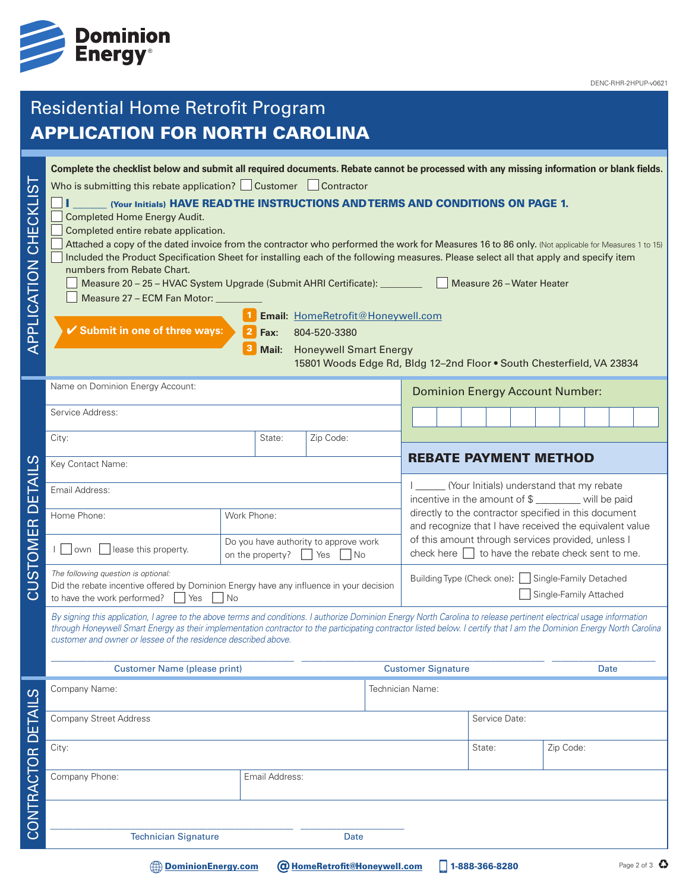

# Residential Home Retrofit Program APPLICATION FOR NORTH CAROLINA

| .<br>()<br>APPLICATION CHECKLI | Complete the checklist below and submit all required documents. Rebate cannot be processed with any missing information or blank fields.<br>Who is submitting this rebate application? $\Box$ Customer $\Box$ Contractor<br>(Your Initials) HAVE READ THE INSTRUCTIONS AND TERMS AND CONDITIONS ON PAGE 1.<br><b>Completed Home Energy Audit.</b><br>Completed entire rebate application.<br>Attached a copy of the dated invoice from the contractor who performed the work for Measures 16 to 86 only. (Not applicable for Measures 1 to 15)<br>Included the Product Specification Sheet for installing each of the following measures. Please select all that apply and specify item<br>numbers from Rebate Chart.<br>Measure 26 - Water Heater<br>Measure 20 - 25 - HVAC System Upgrade (Submit AHRI Certificate): ________________<br>Measure 27 - ECM Fan Motor:<br>Email: HomeRetrofit@Honeywell.com<br>✔ Submit in one of three ways:<br>$\mathbf{2}$<br>Fax:<br>804-520-3380<br><b>Honeywell Smart Energy</b><br>Mail:<br>15801 Woods Edge Rd, Bldg 12-2nd Floor . South Chesterfield, VA 23834 |                                                                          |                                     |                           |                                                                                                                                                                                                                                  |                                                                                                                                 |                |               |  |      |           |  |             |
|--------------------------------|----------------------------------------------------------------------------------------------------------------------------------------------------------------------------------------------------------------------------------------------------------------------------------------------------------------------------------------------------------------------------------------------------------------------------------------------------------------------------------------------------------------------------------------------------------------------------------------------------------------------------------------------------------------------------------------------------------------------------------------------------------------------------------------------------------------------------------------------------------------------------------------------------------------------------------------------------------------------------------------------------------------------------------------------------------------------------------------------------------|--------------------------------------------------------------------------|-------------------------------------|---------------------------|----------------------------------------------------------------------------------------------------------------------------------------------------------------------------------------------------------------------------------|---------------------------------------------------------------------------------------------------------------------------------|----------------|---------------|--|------|-----------|--|-------------|
|                                | Name on Dominion Energy Account:                                                                                                                                                                                                                                                                                                                                                                                                                                                                                                                                                                                                                                                                                                                                                                                                                                                                                                                                                                                                                                                                         |                                                                          |                                     |                           |                                                                                                                                                                                                                                  | <b>Dominion Energy Account Number:</b>                                                                                          |                |               |  |      |           |  |             |
|                                | Service Address:                                                                                                                                                                                                                                                                                                                                                                                                                                                                                                                                                                                                                                                                                                                                                                                                                                                                                                                                                                                                                                                                                         |                                                                          |                                     |                           |                                                                                                                                                                                                                                  |                                                                                                                                 |                |               |  |      |           |  |             |
|                                | City:                                                                                                                                                                                                                                                                                                                                                                                                                                                                                                                                                                                                                                                                                                                                                                                                                                                                                                                                                                                                                                                                                                    | State:                                                                   | Zip Code:                           |                           |                                                                                                                                                                                                                                  |                                                                                                                                 |                |               |  |      |           |  |             |
|                                | Key Contact Name:                                                                                                                                                                                                                                                                                                                                                                                                                                                                                                                                                                                                                                                                                                                                                                                                                                                                                                                                                                                                                                                                                        |                                                                          |                                     |                           |                                                                                                                                                                                                                                  | <b>REBATE PAYMENT METHOD</b><br>(Your Initials) understand that my rebate<br>incentive in the amount of \$ _______ will be paid |                |               |  |      |           |  |             |
|                                | Email Address:                                                                                                                                                                                                                                                                                                                                                                                                                                                                                                                                                                                                                                                                                                                                                                                                                                                                                                                                                                                                                                                                                           |                                                                          |                                     |                           |                                                                                                                                                                                                                                  |                                                                                                                                 |                |               |  |      |           |  |             |
| iu<br>O                        | Home Phone:                                                                                                                                                                                                                                                                                                                                                                                                                                                                                                                                                                                                                                                                                                                                                                                                                                                                                                                                                                                                                                                                                              | Work Phone:                                                              |                                     |                           | directly to the contractor specified in this document<br>and recognize that I have received the equivalent value<br>of this amount through services provided, unless I<br>check here $\Box$ to have the rebate check sent to me. |                                                                                                                                 |                |               |  |      |           |  |             |
| $\mathbb{E}$<br><b>MOLS</b>    | lease this property.<br>    own                                                                                                                                                                                                                                                                                                                                                                                                                                                                                                                                                                                                                                                                                                                                                                                                                                                                                                                                                                                                                                                                          | Do you have authority to approve work<br>on the property?<br>Yes<br>l No |                                     |                           |                                                                                                                                                                                                                                  |                                                                                                                                 |                |               |  |      |           |  |             |
| ۔<br>ت                         | The following question is optional:<br>Did the rebate incentive offered by Dominion Energy have any influence in your decision<br>to have the work performed?<br>Yes<br>No                                                                                                                                                                                                                                                                                                                                                                                                                                                                                                                                                                                                                                                                                                                                                                                                                                                                                                                               |                                                                          |                                     |                           | Building Type (Check one): Single-Family Detached<br>Single-Family Attached                                                                                                                                                      |                                                                                                                                 |                |               |  |      |           |  |             |
|                                | By signing this application, I agree to the above terms and conditions. I authorize Dominion Energy North Carolina to release pertinent electrical usage information<br>through Honeywell Smart Energy as their implementation contractor to the participating contractor listed below. I certify that I am the Dominion Energy North Carolina<br>customer and owner or lessee of the residence described above.                                                                                                                                                                                                                                                                                                                                                                                                                                                                                                                                                                                                                                                                                         |                                                                          |                                     |                           |                                                                                                                                                                                                                                  |                                                                                                                                 |                |               |  |      |           |  |             |
|                                | <b>Customer Name (please print)</b>                                                                                                                                                                                                                                                                                                                                                                                                                                                                                                                                                                                                                                                                                                                                                                                                                                                                                                                                                                                                                                                                      |                                                                          |                                     | <b>Customer Signature</b> |                                                                                                                                                                                                                                  |                                                                                                                                 |                |               |  | Date |           |  |             |
|                                | Company Name:                                                                                                                                                                                                                                                                                                                                                                                                                                                                                                                                                                                                                                                                                                                                                                                                                                                                                                                                                                                                                                                                                            |                                                                          |                                     | Technician Name:          |                                                                                                                                                                                                                                  |                                                                                                                                 |                |               |  |      |           |  |             |
|                                | <b>Company Street Address</b>                                                                                                                                                                                                                                                                                                                                                                                                                                                                                                                                                                                                                                                                                                                                                                                                                                                                                                                                                                                                                                                                            |                                                                          |                                     |                           |                                                                                                                                                                                                                                  |                                                                                                                                 |                | Service Date: |  |      |           |  |             |
|                                | City:                                                                                                                                                                                                                                                                                                                                                                                                                                                                                                                                                                                                                                                                                                                                                                                                                                                                                                                                                                                                                                                                                                    |                                                                          |                                     |                           |                                                                                                                                                                                                                                  |                                                                                                                                 | State:         |               |  |      | Zip Code: |  |             |
| CONTRACTOR DETAILS             | Company Phone:                                                                                                                                                                                                                                                                                                                                                                                                                                                                                                                                                                                                                                                                                                                                                                                                                                                                                                                                                                                                                                                                                           | Email Address:                                                           |                                     |                           |                                                                                                                                                                                                                                  |                                                                                                                                 |                |               |  |      |           |  |             |
|                                |                                                                                                                                                                                                                                                                                                                                                                                                                                                                                                                                                                                                                                                                                                                                                                                                                                                                                                                                                                                                                                                                                                          |                                                                          |                                     |                           |                                                                                                                                                                                                                                  |                                                                                                                                 |                |               |  |      |           |  |             |
|                                | <b>Technician Signature</b>                                                                                                                                                                                                                                                                                                                                                                                                                                                                                                                                                                                                                                                                                                                                                                                                                                                                                                                                                                                                                                                                              |                                                                          | Date                                |                           |                                                                                                                                                                                                                                  |                                                                                                                                 |                |               |  |      |           |  |             |
|                                | <b>EXAMPLE Dominion Energy.com</b>                                                                                                                                                                                                                                                                                                                                                                                                                                                                                                                                                                                                                                                                                                                                                                                                                                                                                                                                                                                                                                                                       |                                                                          | <b>@ HomeRetrofit@Honeywell.com</b> |                           |                                                                                                                                                                                                                                  |                                                                                                                                 | 1-888-366-8280 |               |  |      |           |  | Page 2 of 3 |